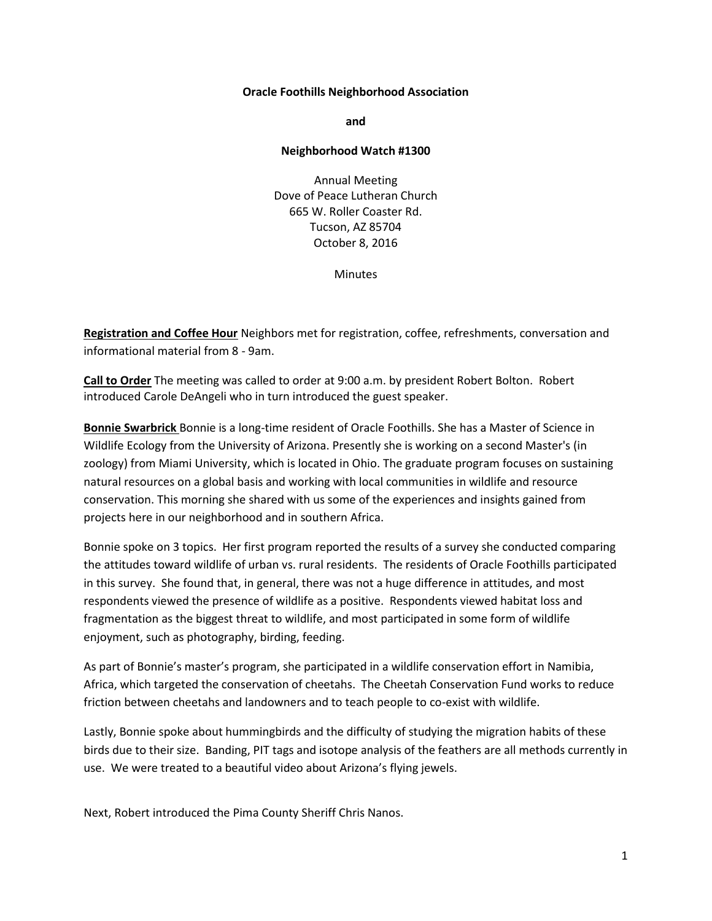## **Oracle Foothills Neighborhood Association**

**and**

## **Neighborhood Watch #1300**

Annual Meeting Dove of Peace Lutheran Church 665 W. Roller Coaster Rd. Tucson, AZ 85704 October 8, 2016

**Minutes** 

**Registration and Coffee Hour** Neighbors met for registration, coffee, refreshments, conversation and informational material from 8 - 9am.

**Call to Order** The meeting was called to order at 9:00 a.m. by president Robert Bolton. Robert introduced Carole DeAngeli who in turn introduced the guest speaker.

**Bonnie Swarbrick** Bonnie is a long-time resident of Oracle Foothills. She has a Master of Science in Wildlife Ecology from the University of Arizona. Presently she is working on a second Master's (in zoology) from Miami University, which is located in Ohio. The graduate program focuses on sustaining natural resources on a global basis and working with local communities in wildlife and resource conservation. This morning she shared with us some of the experiences and insights gained from projects here in our neighborhood and in southern Africa.

Bonnie spoke on 3 topics. Her first program reported the results of a survey she conducted comparing the attitudes toward wildlife of urban vs. rural residents. The residents of Oracle Foothills participated in this survey. She found that, in general, there was not a huge difference in attitudes, and most respondents viewed the presence of wildlife as a positive. Respondents viewed habitat loss and fragmentation as the biggest threat to wildlife, and most participated in some form of wildlife enjoyment, such as photography, birding, feeding.

As part of Bonnie's master's program, she participated in a wildlife conservation effort in Namibia, Africa, which targeted the conservation of cheetahs. The Cheetah Conservation Fund works to reduce friction between cheetahs and landowners and to teach people to co-exist with wildlife.

Lastly, Bonnie spoke about hummingbirds and the difficulty of studying the migration habits of these birds due to their size. Banding, PIT tags and isotope analysis of the feathers are all methods currently in use. We were treated to a beautiful video about Arizona's flying jewels.

Next, Robert introduced the Pima County Sheriff Chris Nanos.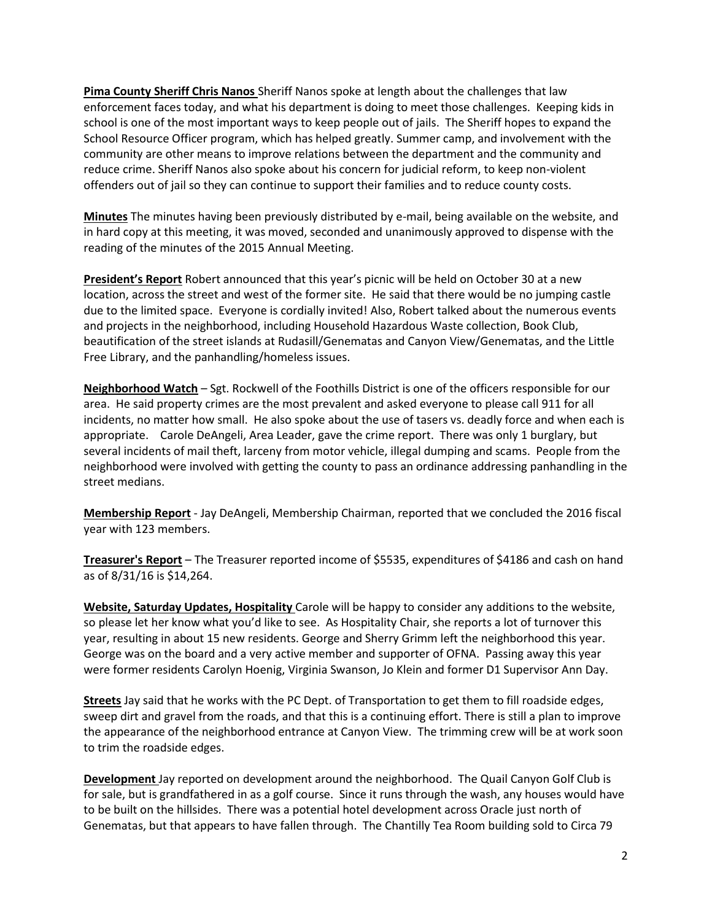**Pima County Sheriff Chris Nanos** Sheriff Nanos spoke at length about the challenges that law enforcement faces today, and what his department is doing to meet those challenges. Keeping kids in school is one of the most important ways to keep people out of jails. The Sheriff hopes to expand the School Resource Officer program, which has helped greatly. Summer camp, and involvement with the community are other means to improve relations between the department and the community and reduce crime. Sheriff Nanos also spoke about his concern for judicial reform, to keep non-violent offenders out of jail so they can continue to support their families and to reduce county costs.

**Minutes** The minutes having been previously distributed by e-mail, being available on the website, and in hard copy at this meeting, it was moved, seconded and unanimously approved to dispense with the reading of the minutes of the 2015 Annual Meeting.

**President's Report** Robert announced that this year's picnic will be held on October 30 at a new location, across the street and west of the former site. He said that there would be no jumping castle due to the limited space. Everyone is cordially invited! Also, Robert talked about the numerous events and projects in the neighborhood, including Household Hazardous Waste collection, Book Club, beautification of the street islands at Rudasill/Genematas and Canyon View/Genematas, and the Little Free Library, and the panhandling/homeless issues.

**Neighborhood Watch** – Sgt. Rockwell of the Foothills District is one of the officers responsible for our area. He said property crimes are the most prevalent and asked everyone to please call 911 for all incidents, no matter how small. He also spoke about the use of tasers vs. deadly force and when each is appropriate. Carole DeAngeli, Area Leader, gave the crime report. There was only 1 burglary, but several incidents of mail theft, larceny from motor vehicle, illegal dumping and scams. People from the neighborhood were involved with getting the county to pass an ordinance addressing panhandling in the street medians.

**Membership Report** - Jay DeAngeli, Membership Chairman, reported that we concluded the 2016 fiscal year with 123 members.

**Treasurer's Report** – The Treasurer reported income of \$5535, expenditures of \$4186 and cash on hand as of 8/31/16 is \$14,264.

**Website, Saturday Updates, Hospitality** Carole will be happy to consider any additions to the website, so please let her know what you'd like to see. As Hospitality Chair, she reports a lot of turnover this year, resulting in about 15 new residents. George and Sherry Grimm left the neighborhood this year. George was on the board and a very active member and supporter of OFNA. Passing away this year were former residents Carolyn Hoenig, Virginia Swanson, Jo Klein and former D1 Supervisor Ann Day.

**Streets** Jay said that he works with the PC Dept. of Transportation to get them to fill roadside edges, sweep dirt and gravel from the roads, and that this is a continuing effort. There is still a plan to improve the appearance of the neighborhood entrance at Canyon View. The trimming crew will be at work soon to trim the roadside edges.

**Development** Jay reported on development around the neighborhood. The Quail Canyon Golf Club is for sale, but is grandfathered in as a golf course. Since it runs through the wash, any houses would have to be built on the hillsides. There was a potential hotel development across Oracle just north of Genematas, but that appears to have fallen through. The Chantilly Tea Room building sold to Circa 79